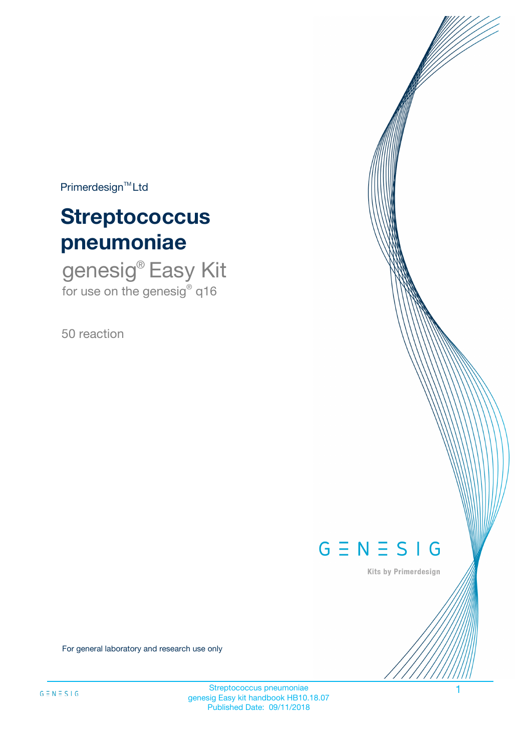$Primerdesign^{\text{TM}}Ltd$ 

# **Streptococcus pneumoniae**

genesig® Easy Kit for use on the genesig® q16

50 reaction



Kits by Primerdesign

For general laboratory and research use only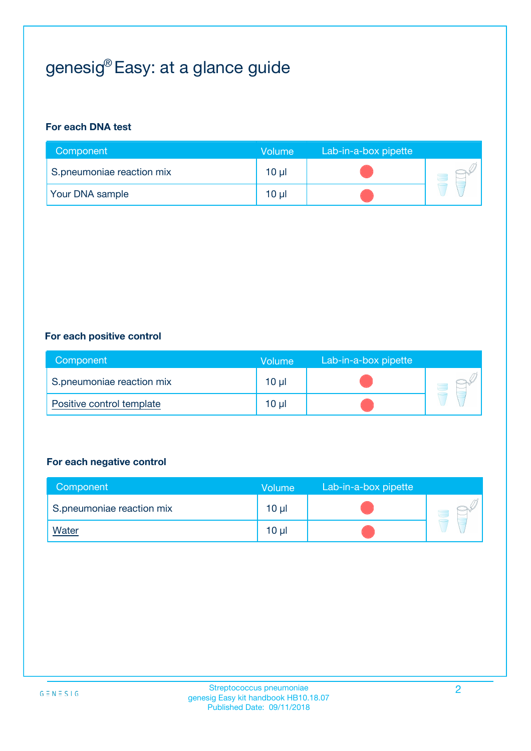## genesig® Easy: at a glance guide

#### **For each DNA test**

| Component                 | <b>Volume</b>   | Lab-in-a-box pipette |  |
|---------------------------|-----------------|----------------------|--|
| S.pneumoniae reaction mix | $10 \mu$        |                      |  |
| <b>Your DNA sample</b>    | 10 <sub>µ</sub> |                      |  |

#### **For each positive control**

| Component                 | Volume   | Lab-in-a-box pipette |  |
|---------------------------|----------|----------------------|--|
| S.pneumoniae reaction mix | $10 \mu$ |                      |  |
| Positive control template | $10 \mu$ |                      |  |

#### **For each negative control**

| Component                 | <b>Volume</b>   | Lab-in-a-box pipette |  |
|---------------------------|-----------------|----------------------|--|
| S.pneumoniae reaction mix | 10 <sub>µ</sub> |                      |  |
| <b>Water</b>              | 10 µl           |                      |  |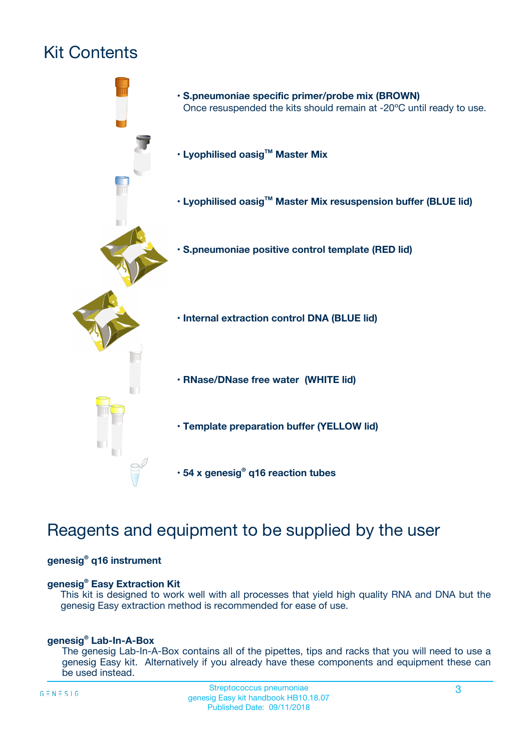## Kit Contents



## Reagents and equipment to be supplied by the user

#### **genesig® q16 instrument**

#### **genesig® Easy Extraction Kit**

This kit is designed to work well with all processes that yield high quality RNA and DNA but the genesig Easy extraction method is recommended for ease of use.

#### **genesig® Lab-In-A-Box**

The genesig Lab-In-A-Box contains all of the pipettes, tips and racks that you will need to use a genesig Easy kit. Alternatively if you already have these components and equipment these can be used instead.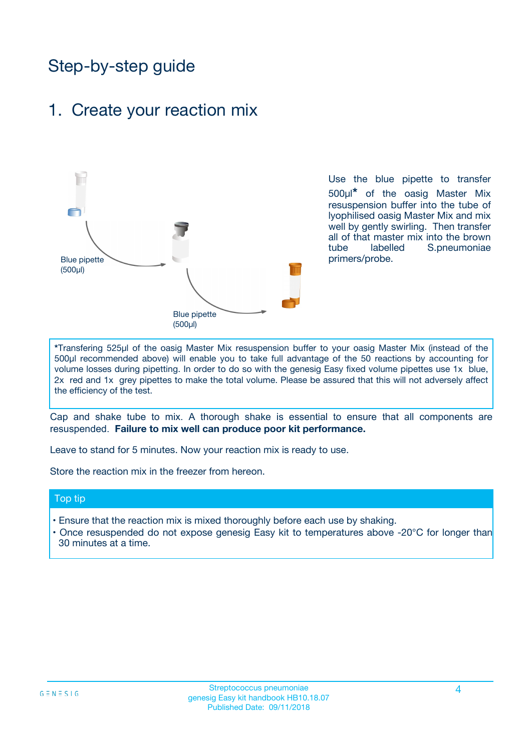## Step-by-step guide

### 1. Create your reaction mix



Use the blue pipette to transfer 500µl**\*** of the oasig Master Mix resuspension buffer into the tube of lyophilised oasig Master Mix and mix well by gently swirling. Then transfer all of that master mix into the brown tube labelled S.pneumoniae primers/probe.

**\***Transfering 525µl of the oasig Master Mix resuspension buffer to your oasig Master Mix (instead of the 500µl recommended above) will enable you to take full advantage of the 50 reactions by accounting for volume losses during pipetting. In order to do so with the genesig Easy fixed volume pipettes use 1x blue, 2x red and 1x grey pipettes to make the total volume. Please be assured that this will not adversely affect the efficiency of the test.

Cap and shake tube to mix. A thorough shake is essential to ensure that all components are resuspended. **Failure to mix well can produce poor kit performance.**

Leave to stand for 5 minutes. Now your reaction mix is ready to use.

Store the reaction mix in the freezer from hereon.

#### Top tip

- Ensure that the reaction mix is mixed thoroughly before each use by shaking.
- **•** Once resuspended do not expose genesig Easy kit to temperatures above -20°C for longer than 30 minutes at a time.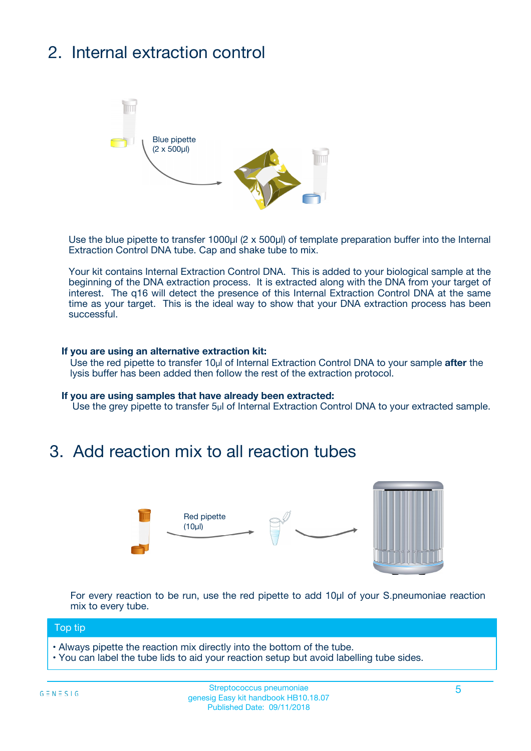## 2. Internal extraction control



Use the blue pipette to transfer 1000µl (2 x 500µl) of template preparation buffer into the Internal Extraction Control DNA tube. Cap and shake tube to mix.

Your kit contains Internal Extraction Control DNA. This is added to your biological sample at the beginning of the DNA extraction process. It is extracted along with the DNA from your target of interest. The q16 will detect the presence of this Internal Extraction Control DNA at the same time as your target. This is the ideal way to show that your DNA extraction process has been successful.

#### **If you are using an alternative extraction kit:**

Use the red pipette to transfer 10µl of Internal Extraction Control DNA to your sample **after** the lysis buffer has been added then follow the rest of the extraction protocol.

#### **If you are using samples that have already been extracted:**

Use the grey pipette to transfer 5µl of Internal Extraction Control DNA to your extracted sample.

### 3. Add reaction mix to all reaction tubes



For every reaction to be run, use the red pipette to add 10µl of your S.pneumoniae reaction mix to every tube.

#### Top tip

- Always pipette the reaction mix directly into the bottom of the tube.
- You can label the tube lids to aid your reaction setup but avoid labelling tube sides.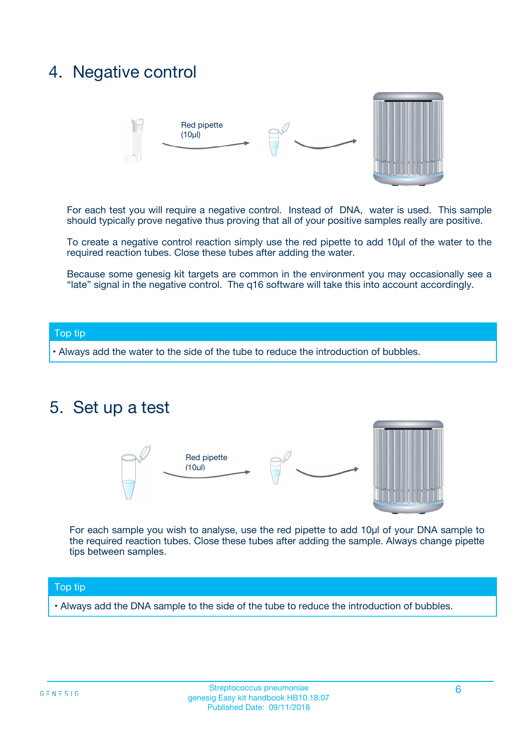### 4. Negative control



For each test you will require a negative control. Instead of DNA, water is used. This sample should typically prove negative thus proving that all of your positive samples really are positive.

To create a negative control reaction simply use the red pipette to add 10µl of the water to the required reaction tubes. Close these tubes after adding the water.

Because some genesig kit targets are common in the environment you may occasionally see a "late" signal in the negative control. The q16 software will take this into account accordingly.

#### Top tip

**•** Always add the water to the side of the tube to reduce the introduction of bubbles.

### 5. Set up a test



For each sample you wish to analyse, use the red pipette to add 10µl of your DNA sample to the required reaction tubes. Close these tubes after adding the sample. Always change pipette tips between samples.

#### Top tip

**•** Always add the DNA sample to the side of the tube to reduce the introduction of bubbles.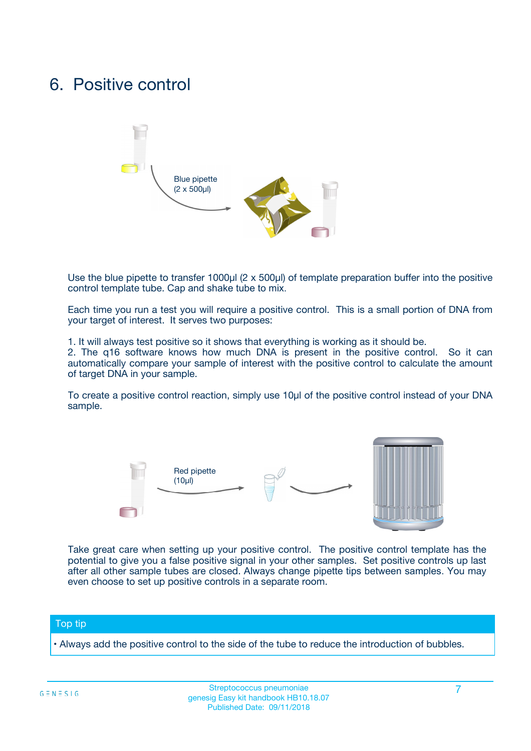### 6. Positive control



Use the blue pipette to transfer 1000µl (2 x 500µl) of template preparation buffer into the positive control template tube. Cap and shake tube to mix.

Each time you run a test you will require a positive control. This is a small portion of DNA from your target of interest. It serves two purposes:

1. It will always test positive so it shows that everything is working as it should be.

2. The q16 software knows how much DNA is present in the positive control. So it can automatically compare your sample of interest with the positive control to calculate the amount of target DNA in your sample.

To create a positive control reaction, simply use 10µl of the positive control instead of your DNA sample.



Take great care when setting up your positive control. The positive control template has the potential to give you a false positive signal in your other samples. Set positive controls up last after all other sample tubes are closed. Always change pipette tips between samples. You may even choose to set up positive controls in a separate room.

#### Top tip

**•** Always add the positive control to the side of the tube to reduce the introduction of bubbles.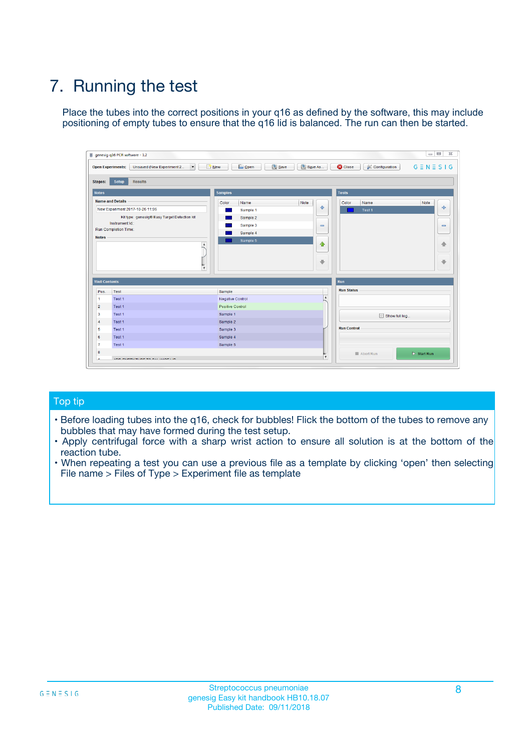## 7. Running the test

Place the tubes into the correct positions in your q16 as defined by the software, this may include positioning of empty tubes to ensure that the q16 lid is balanced. The run can then be started.

| genesig q16 PCR software - 1.2                                               |                                     | $\Box$                                                                                  |
|------------------------------------------------------------------------------|-------------------------------------|-----------------------------------------------------------------------------------------|
| Unsaved (New Experiment 2<br>$\vert \cdot \vert$<br><b>Open Experiments:</b> | <b>D</b> Open<br>Save<br>$\Box$ New | Save As<br><b>C</b> Close<br>$G \equiv N \equiv S \mid G$<br><b>&amp; Configuration</b> |
| Setup<br><b>Results</b><br><b>Stages:</b>                                    |                                     |                                                                                         |
| <b>Notes</b>                                                                 | Samples                             | <b>Tests</b>                                                                            |
| <b>Name and Details</b>                                                      | Color<br>Name                       | Note<br>Color<br>Note<br>Name                                                           |
| New Experiment 2017-10-26 11:06                                              | Sample 1                            | ع<br>条<br>Test 1                                                                        |
| Kit type: genesig® Easy Target Detection kit                                 | Sample 2                            |                                                                                         |
| Instrument Id.:                                                              | Sample 3                            | $\qquad \qquad \blacksquare$<br>$\qquad \qquad \blacksquare$                            |
| Run Completion Time:                                                         | Sample 4                            |                                                                                         |
| <b>Notes</b>                                                                 | Sample 5<br>A<br>v                  | $\triangle$<br>4<br>$\oplus$<br>₩                                                       |
| <b>Well Contents</b>                                                         |                                     | <b>Run</b>                                                                              |
| Pos.<br>Test                                                                 | Sample                              | <b>Run Status</b>                                                                       |
| Test 1<br>-1                                                                 | <b>Negative Control</b>             | $\blacktriangle$                                                                        |
| $\overline{2}$<br>Test 1                                                     | <b>Positive Control</b>             |                                                                                         |
| $\overline{\mathbf{3}}$<br>Test 1                                            | Sample 1                            | Show full log                                                                           |
| Test 1<br>$\overline{4}$                                                     | Sample 2                            |                                                                                         |
| 5<br>Test 1                                                                  | Sample 3                            | <b>Run Control</b>                                                                      |
| 6<br>Test 1                                                                  | Sample 4                            |                                                                                         |
| $\overline{7}$<br>Test 1                                                     | Sample 5                            |                                                                                         |
| 8                                                                            |                                     | $\triangleright$ Start Run<br>Abort Run                                                 |
| <b>JOD FURTY TUDE TO BUILDED IN</b>                                          |                                     | $\overline{\mathbf{v}}$                                                                 |

#### Top tip

- Before loading tubes into the q16, check for bubbles! Flick the bottom of the tubes to remove any bubbles that may have formed during the test setup.
- Apply centrifugal force with a sharp wrist action to ensure all solution is at the bottom of the reaction tube.
- When repeating a test you can use a previous file as a template by clicking 'open' then selecting File name > Files of Type > Experiment file as template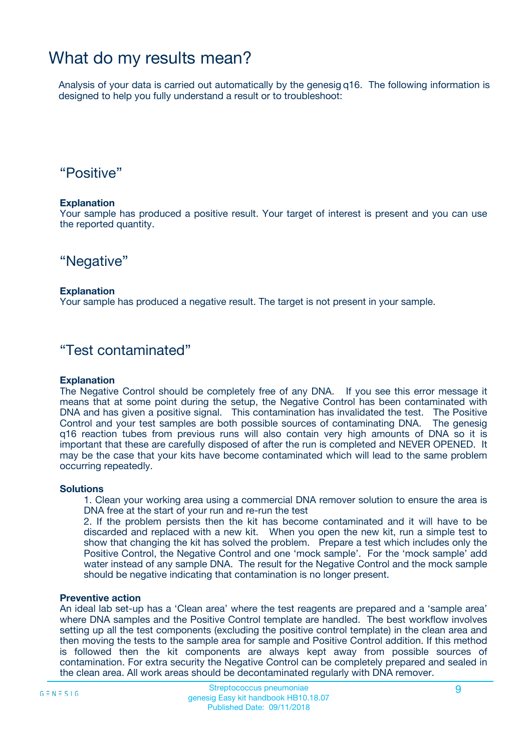### What do my results mean?

Analysis of your data is carried out automatically by the genesig q16. The following information is designed to help you fully understand a result or to troubleshoot:

### "Positive"

#### **Explanation**

Your sample has produced a positive result. Your target of interest is present and you can use the reported quantity.

"Negative"

#### **Explanation**

Your sample has produced a negative result. The target is not present in your sample.

### "Test contaminated"

#### **Explanation**

The Negative Control should be completely free of any DNA. If you see this error message it means that at some point during the setup, the Negative Control has been contaminated with DNA and has given a positive signal. This contamination has invalidated the test. The Positive Control and your test samples are both possible sources of contaminating DNA. The genesig q16 reaction tubes from previous runs will also contain very high amounts of DNA so it is important that these are carefully disposed of after the run is completed and NEVER OPENED. It may be the case that your kits have become contaminated which will lead to the same problem occurring repeatedly.

#### **Solutions**

1. Clean your working area using a commercial DNA remover solution to ensure the area is DNA free at the start of your run and re-run the test

2. If the problem persists then the kit has become contaminated and it will have to be discarded and replaced with a new kit. When you open the new kit, run a simple test to show that changing the kit has solved the problem. Prepare a test which includes only the Positive Control, the Negative Control and one 'mock sample'. For the 'mock sample' add water instead of any sample DNA. The result for the Negative Control and the mock sample should be negative indicating that contamination is no longer present.

#### **Preventive action**

An ideal lab set-up has a 'Clean area' where the test reagents are prepared and a 'sample area' where DNA samples and the Positive Control template are handled. The best workflow involves setting up all the test components (excluding the positive control template) in the clean area and then moving the tests to the sample area for sample and Positive Control addition. If this method is followed then the kit components are always kept away from possible sources of contamination. For extra security the Negative Control can be completely prepared and sealed in the clean area. All work areas should be decontaminated regularly with DNA remover.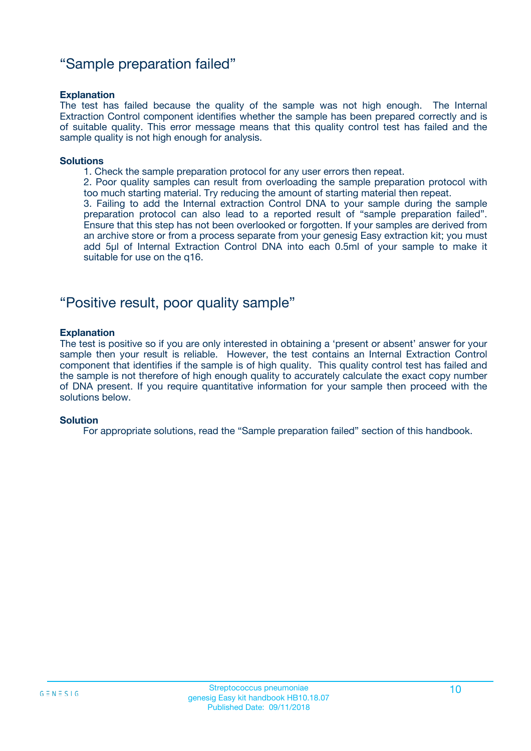### "Sample preparation failed"

#### **Explanation**

The test has failed because the quality of the sample was not high enough. The Internal Extraction Control component identifies whether the sample has been prepared correctly and is of suitable quality. This error message means that this quality control test has failed and the sample quality is not high enough for analysis.

#### **Solutions**

1. Check the sample preparation protocol for any user errors then repeat.

2. Poor quality samples can result from overloading the sample preparation protocol with too much starting material. Try reducing the amount of starting material then repeat.

3. Failing to add the Internal extraction Control DNA to your sample during the sample preparation protocol can also lead to a reported result of "sample preparation failed". Ensure that this step has not been overlooked or forgotten. If your samples are derived from an archive store or from a process separate from your genesig Easy extraction kit; you must add 5µl of Internal Extraction Control DNA into each 0.5ml of your sample to make it suitable for use on the q16.

### "Positive result, poor quality sample"

#### **Explanation**

The test is positive so if you are only interested in obtaining a 'present or absent' answer for your sample then your result is reliable. However, the test contains an Internal Extraction Control component that identifies if the sample is of high quality. This quality control test has failed and the sample is not therefore of high enough quality to accurately calculate the exact copy number of DNA present. If you require quantitative information for your sample then proceed with the solutions below.

#### **Solution**

For appropriate solutions, read the "Sample preparation failed" section of this handbook.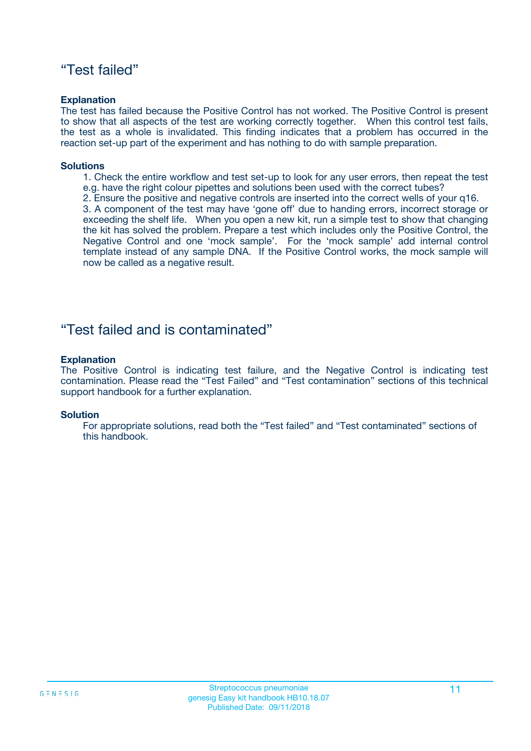### "Test failed"

#### **Explanation**

The test has failed because the Positive Control has not worked. The Positive Control is present to show that all aspects of the test are working correctly together. When this control test fails, the test as a whole is invalidated. This finding indicates that a problem has occurred in the reaction set-up part of the experiment and has nothing to do with sample preparation.

#### **Solutions**

- 1. Check the entire workflow and test set-up to look for any user errors, then repeat the test e.g. have the right colour pipettes and solutions been used with the correct tubes?
- 2. Ensure the positive and negative controls are inserted into the correct wells of your q16.

3. A component of the test may have 'gone off' due to handing errors, incorrect storage or exceeding the shelf life. When you open a new kit, run a simple test to show that changing the kit has solved the problem. Prepare a test which includes only the Positive Control, the Negative Control and one 'mock sample'. For the 'mock sample' add internal control template instead of any sample DNA. If the Positive Control works, the mock sample will now be called as a negative result.

### "Test failed and is contaminated"

#### **Explanation**

The Positive Control is indicating test failure, and the Negative Control is indicating test contamination. Please read the "Test Failed" and "Test contamination" sections of this technical support handbook for a further explanation.

#### **Solution**

For appropriate solutions, read both the "Test failed" and "Test contaminated" sections of this handbook.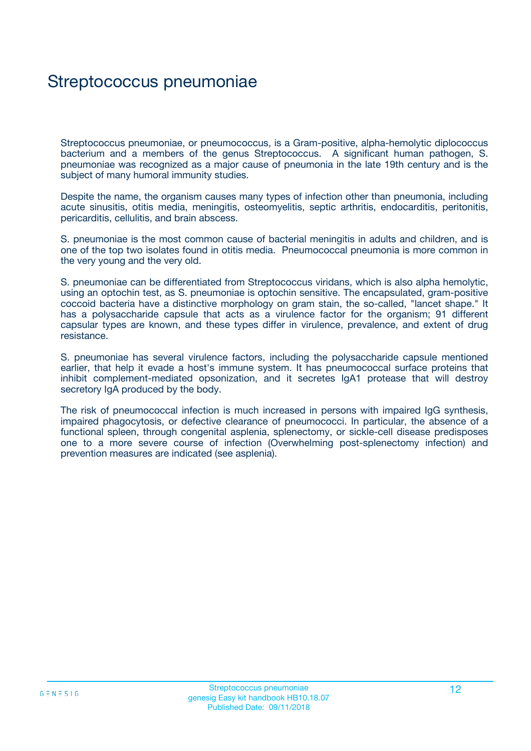### Streptococcus pneumoniae

Streptococcus pneumoniae, or pneumococcus, is a Gram-positive, alpha-hemolytic diplococcus bacterium and a members of the genus Streptococcus. A significant human pathogen, S. pneumoniae was recognized as a major cause of pneumonia in the late 19th century and is the subject of many humoral immunity studies.

Despite the name, the organism causes many types of infection other than pneumonia, including acute sinusitis, otitis media, meningitis, osteomyelitis, septic arthritis, endocarditis, peritonitis, pericarditis, cellulitis, and brain abscess.

S. pneumoniae is the most common cause of bacterial meningitis in adults and children, and is one of the top two isolates found in otitis media. Pneumococcal pneumonia is more common in the very young and the very old.

S. pneumoniae can be differentiated from Streptococcus viridans, which is also alpha hemolytic, using an optochin test, as S. pneumoniae is optochin sensitive. The encapsulated, gram-positive coccoid bacteria have a distinctive morphology on gram stain, the so-called, "lancet shape." It has a polysaccharide capsule that acts as a virulence factor for the organism; 91 different capsular types are known, and these types differ in virulence, prevalence, and extent of drug resistance.

S. pneumoniae has several virulence factors, including the polysaccharide capsule mentioned earlier, that help it evade a host's immune system. It has pneumococcal surface proteins that inhibit complement-mediated opsonization, and it secretes IgA1 protease that will destroy secretory IgA produced by the body.

The risk of pneumococcal infection is much increased in persons with impaired IgG synthesis, impaired phagocytosis, or defective clearance of pneumococci. In particular, the absence of a functional spleen, through congenital asplenia, splenectomy, or sickle-cell disease predisposes one to a more severe course of infection (Overwhelming post-splenectomy infection) and prevention measures are indicated (see asplenia).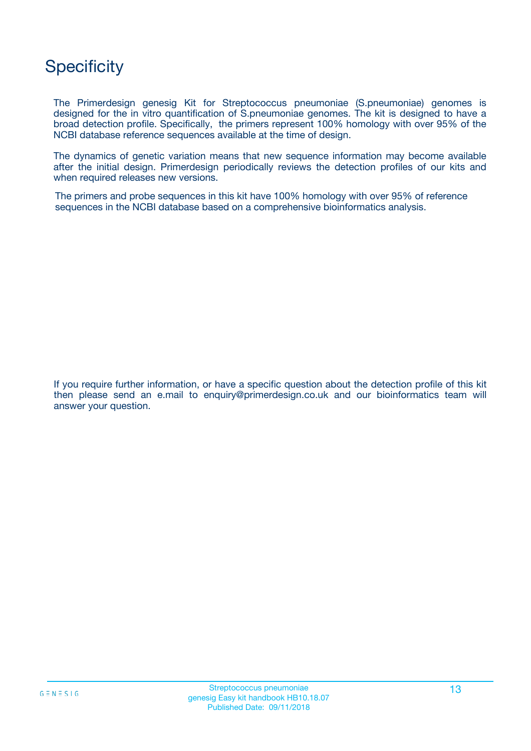## **Specificity**

The Primerdesign genesig Kit for Streptococcus pneumoniae (S.pneumoniae) genomes is designed for the in vitro quantification of S.pneumoniae genomes. The kit is designed to have a broad detection profile. Specifically, the primers represent 100% homology with over 95% of the NCBI database reference sequences available at the time of design.

The dynamics of genetic variation means that new sequence information may become available after the initial design. Primerdesign periodically reviews the detection profiles of our kits and when required releases new versions.

The primers and probe sequences in this kit have 100% homology with over 95% of reference sequences in the NCBI database based on a comprehensive bioinformatics analysis.

If you require further information, or have a specific question about the detection profile of this kit then please send an e.mail to enquiry@primerdesign.co.uk and our bioinformatics team will answer your question.